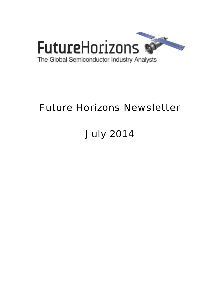

# Future Horizons Newsletter

# July 2014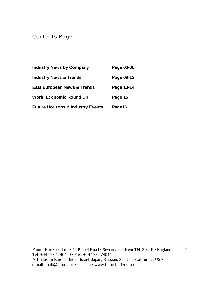Contents Page

| <b>Industry News by Company</b>              | Page 03-08 |
|----------------------------------------------|------------|
| <b>Industry News &amp; Trends</b>            | Page 09-12 |
| <b>East European News &amp; Trends</b>       | Page 13-14 |
| <b>World Economic Round Up</b>               | Page 15    |
| <b>Future Horizons &amp; Industry Events</b> | Page16     |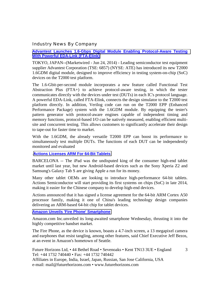#### Industry News By Company

#### **[Advantest Launches 1.6-Gbps Digital Module Enabling Protocol-Aware Testing](http://online.wsj.com/article/PR-CO-20140624-901597.html)  [With Powerful EDA-Link \(FTA-Elink\)](http://online.wsj.com/article/PR-CO-20140624-901597.html)**

TOKYO, JAPAN--(Marketwired - Jun 24, 2014) - Leading semiconductor test equipment supplier Advantest Corporation (TSE: 6857) (NYSE: ATE) has introduced its new T2000 1.6GDM digital module, designed to improve efficiency in testing system-on-chip (SoC) devices on the T2000 test platform.

The 1.6-Gbit-per-second module incorporates a new feature called Functional Test Abstraction Plus (FTA+) to achieve protocol-aware testing, in which the tester communicates directly with the devices under test (DUTs) in each IC's protocol language. A powerful EDA-Link, called FTA-Elink, connects the design simulator to the T2000 test platform directly. In addition, Verilog code can run on the T2000 EPP (Enhanced Performance Package) system with the 1.6GDM module. By equipping the tester's pattern generator with protocol-aware engines capable of independent timing and memory functions, protocol-based I/O can be natively measured, enabling efficient multisite and concurrent testing. This allows customers to significantly accelerate their design to tape-out for faster time to market.

With the 1.6GDM, the already versatile T2000 EPP can boost its performance to simultaneously test multiple DUTs. The functions of each DUT can be independently monitored and evaluated

#### .**[Actions Licenses ARM For 64-Bit Tablets](http://www.eetimes.com/document.asp?doc_id=1322938)**

BARCELONA -- The iPad was the undisputed king of the consumer high-end tablet market until last year, but new Android-based devices such as the Sony Xperia Z2 and Samsung's Galaxy Tab S are giving Apple a run for its money.

Many other tablet OEMs are looking to introduce high-performance 64-bit tablets. Actions Semiconductor will start providing its first systems on chips (SoC) in late 2014, making it easier for the Chinese company to develop high-end devices.

Actions announced that it has signed a license agreement for the 64-bit ARM Cortex A50 processor family, making it one of China's leading technology design companies delivering an ARM-based 64-bit chip for tablet devices.

#### **[Amazon Unveils 'Fire Phone' Smartphone](http://online.wsj.com/articles/amazon-unveils-smartphone-1403114271?mod=djemalertNEWS)**

Amazon.com Inc.unveiled its long-awaited smartphone Wednesday, thrusting it into the highly competitive handset market.

The Fire Phone, as the device is known, boasts a 4.7-inch screen, a 13 megapixel camera and earphones that resist tangling, among other features, said Chief Executive Jeff Bezos, at an event in Amazon's hometown of Seattle.

3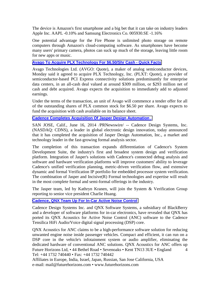The device is Amazon's first smartphone and a big bet that it can take on industry leaders Apple Inc. AAPL -0.10% and Samsung Electronics Co. 005930.SE -1.16%

One potential advantage for the Fire Phone is unlimited photo storage on remote computers through Amazon's cloud-computing software. As smartphones have become many users' primary camera, photos can suck up much of the storage, leaving little room for new apps or music.

#### **[Avago To Acquire PLX Technology For \\$6.50/Shr Cash - Quick Facts](http://www.rttnews.com/2340098/avago-to-acquire-plx-technology-for-6-50-shr-cash-quick-facts.aspx)**

Avago Technologies Ltd. (AVGO: Quote), a maker of analog semiconductor devices, Monday said it agreed to acquire PLX Technology, Inc. (PLXT: Quote), a provider of semiconductor-based PCI Express connectivity solutions predominantly for enterprise data centers, in an all-cash deal valued at around \$309 million, or \$293 million net of cash and debt acquired. Avago expects the acquisition to immediately add to adjusted earnings.

Under the terms of the transaction, an unit of Avago will commence a tender offer for all of the outstanding shares of PLX common stock for \$6.50 per share. Avago expects to fund the acquisition with cash available on its balance sheet.

#### **[Cadence Completes Acquisition Of Jasper Design Automation .](http://online.wsj.com/article/PR-CO-20140616-904703.html)**

SAN JOSE, Calif., June 16, 2014 /PRNewswire/ -- Cadence Design Systems, Inc. (NASDAQ: CDNS), a leader in global electronic design innovation, today announced that it has completed the acquisition of Jasper Design Automation, Inc., a market and technology leader in the fast-growing formal analysis sector.

The completion of this transaction expands differentiation of Cadence's System Development Suite, the industry's first and broadest system design and verification platform. Integration of Jasper's solutions with Cadence's connected debug analysis and software and hardware verification platforms will improve customers' ability to leverage Cadence's unified verification planning, metric-driven verification flow, and extensive dynamic and formal Verification IP portfolio for embedded processor system verification. The combination of Jasper and Incisive(R) Formal technologies and expertise will result in the most complete formal and semi-formal offerings in the industry.

The Jasper team, led by Kathryn Kranen, will join the System & Verification Group reporting to senior vice president Charlie Huang.

# **[Cadence, QNX Team Up For In-Car Active Noise Control](http://www.eetindia.co.in/ART_8800700136_1800012_NP_3d38613e.HTM?click_from=8800114896,9950114561,2014-06-25,EEIOL,ARTICLE_ALERT)**

Cadence Design Systems Inc. and QNX Software Systems, a subsidiary of BlackBerry and a developer of software platforms for in-car electronics, have revealed that QNX has ported its QNX Acoustics for Active Noise Control (ANC) software to the Cadence Tensilica HiFi Audio/Voice digital signal processing (DSP) core.

Future Horizons Ltd, • 44 Bethel Road • Sevenoaks • Kent TN13 3UE • England Tel: +44 1732 740440 • Fax: +44 1732 740442 4 QNX Acoustics for ANC claims to be a high-performance software solution for reducing unwanted engine noise inside passenger vehicles. Compact and efficient, it can run on a DSP core in the vehicle's infotainment system or audio amplifier, eliminating the dedicated hardware of conventional ANC solutions. QNX Acoustics for ANC offers up

Affiliates in Europe, India, Israel, Japan, Russian, San Jose California, USA e-mail: mail@futurehorizons.com • www.futurehorizons.com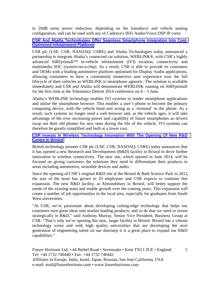to 20dB noise power reduction, depending on the transducer and vehicle seating configuration, and can be used with any of Cadence's HiFi Audio/Voice DSP IP cores.

#### **[CSR And Abalta Technologies Offer Seamless Smartphone Integration Into Cost-](http://www.csr.com/news/pr/2014/abalta-weblink)[Optimised Infotainment Platform](http://www.csr.com/news/pr/2014/abalta-weblink)**

CSR plc (LSE: CSR; NASDAQ: CSRE) and Abalta Technologies today announced a partnership to integrate Abalta's connected car solution, WEBLINK®, with CSR's highly advanced SiRFprimaII™ in-vehicle infotainment (IVI) location, connectivity and multimedia SOC (system-on-a-chip). As a result, CSR is able to provide its customers and OEMs with a leading automotive platform optimised for Display Audio applications, allowing consumers to have a consistently immersive user experience over the full lifecycle of their vehicles as WEBLINK is smartphone agnostic. The solution is available immediately and CSR and Abalta will demonstrate WEBLINK running on SiRFprimaII for the first time at the Telematics Detroit 2014 conference on 4 – 5 June.

Abalta's WEBLINK technology enables IVI systems to render smartphone applications and utilise the smartphone browser. This enables a user's phone to become the primary computing device, with the vehicle head unit acting as a 'terminal' to the phone. As a result, such systems no longer need a web browser and, as the vehicle ages, it will take advantage of the ever increasing power and capability of future smartphones as drivers swap out their old phones for new ones during the life of the vehicle. IVI systems can therefore be greatly simplified and built at a lower cost.

#### **[CSR Invests In Wireless Technology Innovation With The Opening Of New R&D](http://www.csr.com/news/pr/2014/csr-bristol-expansion)  [Centre In Bristol](http://www.csr.com/news/pr/2014/csr-bristol-expansion)**

British technology pioneer CSR plc (LSE: CSR; NASDAQ: CSRE) today announces that it has opened a new Research and Development (R&D) facility in Bristol to drive further innovation in wireless connectivity. The new site, which opened in June 2014, will be focused on giving customers the solutions they need to differentiate their products in areas including automotive, wearable devices and audio.

Since the opening of CSR's original R&D site at the Bristol & Bath Science Park in 2012, the size of the team has grown to 33 employees and CSR expects to continue this expansion. The new R&D facility, at Almondsbury in Bristol, will better support the needs of the existing team and enable growth over the coming years. This expansion will create a number of job opportunities in the local area, especially for graduates from South West universities.

"At CSR, we're passionate about developing cutting-edge technology that helps our customers turn great ideas into market leading products, and to do that we need to invest strategically in R&D," said Anthony Murray, Senior Vice President, Business Group at CSR. "That's why we're opening this new, larger facility in Bristol. Bristol has a vibrant technology scene and with high quality universities that are developing the next generation of engineering talent on our doorstep it is a great place to expand our R&D capabilities."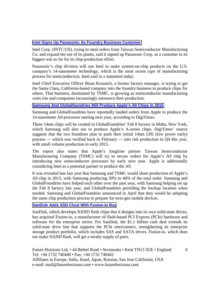# **[Intel Signs Up Panasonic As Foundry Business Customer](http://www.businessweek.com/news/2014-07-07/intel-signs-up-panasonic-as-foundry-business-customer)**

Intel Corp. (INTC:US), trying to steal orders from Taiwan Semiconductor Manufacturing Co. and expand the use of its plants, said it signed up Panasonic Corp. as a customer in its biggest win so far for its chip-production effort.

Panasonic's chip division will use Intel to make system-on-chip products on the U.S. company's 14-nanometer technology, which is the most recent type of manufacturing process for semiconductors, Intel said in a statement today.

Intel Chief Executive Officer Brian Krzanich, a former factory manager, is trying to get the Santa Clara, California-based company into the foundry business to produce chips for others. That business, dominated by TSMC, is growing as semiconductor manufacturing costs rise and companies increasingly outsource their production.

# **[Samsung And Globalfoundries Will Produce Apple's A9 Chips In 2015](http://www.cultofmac.com/285749/samsung-globalfoundries-will-produce-apples-a9-chips-2015/)**

Samsung and GlobalFoundries have reportedly landed orders from Apple to produce the 14-nanometer A9 processor starting next year, according to DigiTimes.

These 14nm chips will be created in GlobalFoundries' Fab 8 factory in Malta, New York, which Samsung will also use to produce Apple's A-series chips. DigiTimes' source suggests that the two foundries plan to push their initial 14nm LPE (low power early) process — which was verified back in February — into risk production in Q4 this year, with small volume production in early 2015.

The report also states that Apple's longtime partner Taiwan Semiconductor Manufacturing Company (TSMC) will try to secure orders for Apple's A9 chip by introducing new semiconductor processes by early next year. Apple is additionally considering Intel as a potential partner to produce the A9.

It was revealed late last year that Samsung and TSMC would share production of Apple's A9 chip in 2015, with Samsung producing 30% to 40% of the total order. Samsung and GlobalFoundries have helped each other over the past year, with Samsung helping set up the Fab 8 factory last year, and GlobalFoundries providing the backup location when needed. Samsung and GlobalFoundries announced in April that they would be adopting the same chip production process to prepare for next-gen mobile devices.

#### **[SanDisk Adds SSD Clout With Fusion-io Buy](http://www.eetindia.co.in/ART_8800699957_1800009_NT_8e88f45c.HTM)**

SanDisk, which develops NAND flash chips that it designs into its own solid-state drives, has acquired Fusion-io, a manufacturer of flash-based PCI Express (PCIe) hardware and software for the enterprise sector. For SanDisk, the \$1.1 billion cash deal extends its solid-state drive line that supports the PCIe interconnect, strengthening its enterprise storage product portfolio, which includes SAS and SATA drives. Fusion-io, which does not make NAND flash, will get a steady supply of parts.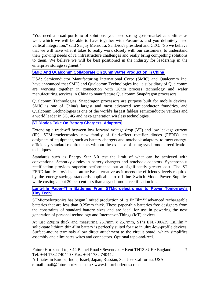"You need a broad portfolio of solutions, you need strong go-to-market capabilities as well, which we will be able to have together with Fusion-io, and you definitely need vertical integration," said Sanjay Mehrotra, SanDisk's president and CEO. "So we believe that we will have what it takes to really work closely with our customers, to understand their growing needs of IT infrastructure challenges and really bring compelling solutions to them. We believe we will be best positioned in the industry for leadership in the enterprise storage segment."

# **[SMIC And Qualcomm Collaborate On 28nm Wafer Production In China](http://www.ciol.com/ciol/news/217132/smic-qualcomm-collaborate-28nm-wafer-production-china)**

USA: Semiconductor Manufacturing International Corp/ (SMIC) and Qualcomm Inc. have announced that SMIC and Qualcomm Technologies Inc., a subsidiary of Qualcomm, are working together in connection with 28nm process technology and wafer manufacturing services in China to manufacture Qualcomm Snapdragon processors.

Qualcomm Technologies' Snapdragon processors are purpose built for mobile devices. SMIC is one of China's largest and most advanced semiconductor foundries, and Qualcomm Technologies is one of the world's largest fabless semiconductor vendors and a world leader in 3G, 4G and next-generation wireless technologies.

# **[ST Diodes Take On Battery Chargers, Adaptors](http://www.eetindia.co.in/ART_8800700438_1800008_NP_5e1bac02.HTM?click_from=8800115556,9950114561,2014-07-01,EEIOL,ARTICLE_ALERT)**

Extending a trade-off between low forward voltage drop (VF) and low leakage current (IR), STMicroelectronics' new family of field-effect rectifier diodes (FERD) lets designers of equipment, such as battery chargers and notebook adaptors, to meet energyefficiency standard requirements without the expense of using synchronous rectification techniques.

Standards such as Energy Star 6.0 test the limit of what can be achieved with conventional Schottky diodes in battery chargers and notebook adaptors. Synchronous rectification provides superior performance but at significantly greater cost. The ST FERD family provides an attractive alternative as it meets the efficiency levels required by the energy-savings standards applicable to off-line Switch Mode Power Supplies while costing about 30 per cent less than a synchronous rectification kit.

#### **[Long-life Paper-Thin Batteries From STMicroelectronics to Power Tomorrow's](http://www.st.com/web/en/news/n3582)  [Tiny Tech](http://www.st.com/web/en/news/n3582)**

STMicroelectronics has begun limited production of its EnFilm<sup>™</sup> advanced rechargeable batteries that are less than 0.25mm thick. These paper-thin batteries free designers from the constraints of standard battery sizes and are ideal for use in powering the next generation of personal technology and Internet-of-Things (IoT) devices.

At just 220 $\mu$ m thick and measuring 25.7mm x 25.7mm, ST's EFL700A39 EnFilm<sup>TM</sup> solid-state lithium thin-film battery is perfectly suited for use in ultra-low-profile devices. Surface-mount terminals allow direct attachment to the circuit board, which simplifies assembly and eliminates wires and connectors. Optional tape-and-reel.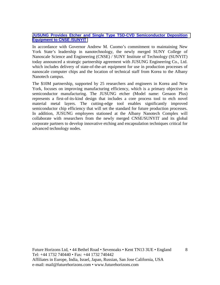#### **[JUSUNG Provides Etcher and Single Type TSD-CVD Semiconductor Deposition](http://www.azonano.com/news.aspx?newsID=30456)  [Equipment to CNSE /SUNYIT](http://www.azonano.com/news.aspx?newsID=30456)**

In accordance with Governor Andrew M. Cuomo's commitment to maintaining New York State's leadership in nanotechnology, the newly merged SUNY College of Nanoscale Science and Engineering (CNSE) / SUNY Institute of Technology (SUNYIT) today announced a strategic partnership agreement with JUSUNG Engineering Co., Ltd. which includes delivery of state-of-the-art equipment for use in production processes of nanoscale computer chips and the location of technical staff from Korea to the Albany Nanotech campus.

The \$10M partnership, supported by 25 researchers and engineers in Korea and New York, focuses on improving manufacturing efficiency, which is a primary objective in semiconductor manufacturing. The JUSUNG etcher (Model name: Genaon Plus) represents a first-of-its-kind design that includes a core process tool to etch novel material metal layers. The cutting-edge tool enables significantly improved semiconductor chip efficiency that will set the standard for future production processes. In addition, JUSUNG employees stationed at the Albany Nanotech Complex will collaborate with researchers from the newly merged CNSE/SUNYIT and its global corporate partners to develop innovative etching and encapsulation techniques critical for advanced technology nodes.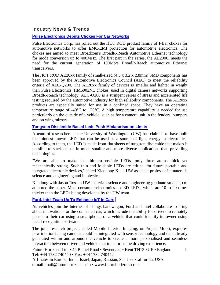Industry News & Trends

**[Pulse Electronics Debuts Chokes For Car Networks](http://www.eetindia.co.in/ART_8800699724_1800006_NP_5ee66b21.HTM)**

Pulse Electronics Corp. has rolled out the HOT ROD product family of I-Bar chokes for automotive networks to offer EMC/EMI protection for automotive electronics. The chokes are aimed to meet Broadcom's BroadR-Reach Automotive Ethernet technology for mode conversion up to 400MHz. The first part in the series, the AE2000, meets the need for the current generation of 100Mb/s BroadR-Reach automotive Ethernet transceivers.

The HOT ROD AE20xx family of small-sized (4.5 x 3.2 x 2.8mm) SMD components has been approved by the Automotive Electronics Council (AEC) to meet the reliability criteria of AEC-Q200. The AE20xx family of devices is smaller and lighter in weight than Pulse Electronics' HM6902NL chokes, used in digital camera networks supporting BroadR-Reach technology. AEC-Q200 is a stringent series of stress and accelerated life testing required by the automotive industry for high reliability components. The AE20xx products are especially suited for use in a confined space. They have an operating temperature range of  $-40^{\circ}$ C to 125 $^{\circ}$ C. A high temperature capability is needed for use particularly on the outside of a vehicle, such as for a camera unit in the fenders, bumpers and on wing mirrors.

**[Tungsten Diselenide-Based Leds Push Miniaturisation Limits](http://m.eetindia.co.in/?click_from=8800114296,9950114561,2014-06-20,EEIOL,ARTICLE_ALERT#/ART_8800696107_1800010_NT_904ccc33.HTM)**

A team of researchers at the University of Washington (UW) has claimed to have built the thinnest-known LED that can be used as a source of light energy in electronics. According to them, the LED is made from flat sheets of tungsten diselenide that makes it possible to stack or use in much smaller and more diverse applications than prevailing technologies.

"We are able to make the thinnest-possible LEDs, only three atoms thick yet mechanically strong. Such thin and foldable LEDs are critical for future portable and integrated electronic devices," stated Xiaodong Xu, a UW assistant professor in materials science and engineering and in physics.

Xu along with Jason Ross, a UW materials science and engineering graduate student, coauthored the paper. Most consumer electronics use 3D LEDs, which are 10 to 20 times thicker than the LEDs being developed by the UW team.

# **[Ford, Intel Team Up To Enhance IoT In Cars](http://www.eetindia.co.in/ART_8800700437_1800010_NT_0d3bc0a3.HTM)**

As vehicles join the Internet of Things bandwagon, Ford and Intel collaborate to bring about innovations for the connected car, which include the ability for drivers to remotely peer into their car using a smartphone, or a vehicle that could identify its owner using facial recognition software.

The joint research project, called Mobile Interior Imaging, or Project Mobii, explores how interior-facing cameras could be integrated with sensor technology and data already generated within and around the vehicle to create a more personalised and seamless interaction between driver and vehicle that transforms the driving experience.

Future Horizons Ltd, • 44 Bethel Road • Sevenoaks • Kent TN13 3UE • England Tel: +44 1732 740440 • Fax: +44 1732 740442

9

Affiliates in Europe, India, Israel, Japan, Russian, San Jose California, USA e-mail: mail@futurehorizons.com • www.futurehorizons.com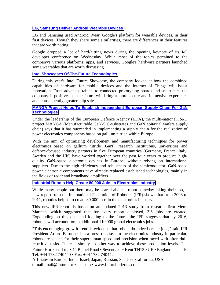#### **[LG, Samsung Deliver Android Wearable Devices](http://www.eetindia.co.in/ART_8800700341_1800001_NT_e8e51bd3.HTM)**

LG and Samsung used Android Wear, Google's platform for wearable devices, in their first devices. Though they share some similarities, there are differences in their features that are worth noting.

Google dropped a lot of hard-hitting news during the opening keynote of its I/O developer conference on Wednesday. While most of the topics pertained to the company's various platforms, apps, and services, Google's hardware partners launched some wearables that are worth discussing.

#### **[Intel Showcases Of-The-Future Technologies](http://www.eetindia.co.in/ART_8800700419_1800001_NT_f6334ae5.HTM?click_from=8800115450,9950114561,2014-06-30,EEIOL,ARTICLE_ALERT)**

During this year's Intel Future Showcase, the company looked at how the combined capabilities of hardware for mobile devices and the Internet of Things will boost innovation. From advanced tablets to connected prototyping boards and smart cars, the company is positive that the future will bring a more secure and immersive experience and, consequently, greater chip sales.

#### **[MANGA Project Helps To Establish Independent European Supply Chain For GaN](http://www.semiconductor-today.com/news_items/2014/JUL/MANGA_010714.shtml)  [Technologies](http://www.semiconductor-today.com/news_items/2014/JUL/MANGA_010714.shtml)**

Under the leadership of the European Defence Agency (EDA), the multi-national R&D project MANGA (Manufacturable GaN-SiC-substrates and GaN epitaxial wafers supply chain) says that it has succeeded in implementing a supply chain for the realization of power electronics components based on gallium nitride within Europe.

With the aim of optimizing development and manufacturing techniques for power electronics based on gallium nitride (GaN), research institutions, universities and defence-focused industry partners in five European countries (Germany, France, Italy, Sweden and the UK) have worked together over the past four years to produce highquality GaN-based electronic devices in Europe, without relying on international suppliers. Due to the high efficiency and robustness of the semiconductor, GaN-based power electronic components have already replaced established technologies, mainly in the fields of radar and broadband amplifiers.

#### **[Industrial Robots Help Create 80,000 Jobs In Electronics Industry](http://www.vision-systems.com/articles/2014/07/industrial-robots-help-create-80-000-jobs-in-electronics-industry.html)**

While many people out there may be scared about a robot someday taking their job, a new report from the International Federation of Robotics (IFR) shows that from 2008 to 2011, robotics helped to create 80,000 jobs in the electronics industry.

This new IFR report is based on an updated 2013 study from research firm Metra Martech, which suggested that for every report deployed, 3.6 jobs are created. Expounding on this data and looking to the future, the IFR suggests that by 2016, robotics will account for an additional 110,000 global electronics jobs.

Future Horizons Ltd, • 44 Bethel Road • Sevenoaks • Kent TN13 3UE • England Tel: +44 1732 740440 • Fax: +44 1732 740442 10 "This encouraging growth trend is evidence that robots do indeed create jobs," said IFR President Arturo Baroncelli in a press release. "In the electronics industry in particular, robots are lauded for their superhuman speed and precision when faced with often dull, repetitive tasks. There is simply no other way to achieve these production levels. The

Affiliates in Europe, India, Israel, Japan, Russian, San Jose California, USA e-mail: mail@futurehorizons.com • www.futurehorizons.com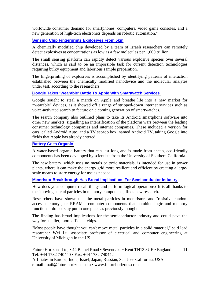worldwide consumer demand for smartphones, computers, video game consoles, and a new generation of high-tech electronics depends on robotic automation."

#### **[Sensing Chip Fingerprints Explosives From 5km](http://www.eetindia.co.in/ART_8800700261_1800004_NT_0601c7dd.HTM?click_from=8800115017,9950114561,2014-06-26,EEIOL,ARTICLE_ALERT)**

A chemically modified chip developed by a team of Israeli researchers can remotely detect explosives at concentrations as low as a few molecules per 1,000 trillion.

The small sensing platform can rapidly detect various explosive species over several distances, which is said to be an impossible task for current detection technologies requiring bulky equipment and laborious sample preparation.

The fingerprinting of explosives is accomplished by identifying patterns of interaction established between the chemically modified nanodevice and the molecular analytes under test, according to the researchers.

#### **[Google Takes 'Wearable' Battle To Apple With Smartwatch Services](http://www.ft.com/cms/s/0/13c31616-fc8e-11e3-86dc-00144feab7de.html?ftcamp=crm/email/2014626/nbe/USBusiness/product&siteedition=uk#slide0)**

Google sought to steal a march on Apple and breathe life into a new market for "wearable" devices, as it showed off a range of stripped-down internet services such as voice-activated search to feature on a coming generation of smartwatches.

The search company also outlined plans to take its Android smartphone software into other new markets, signalling an intensification of the platform wars between the leading consumer technology companies and internet companies. These included a version for cars, called Android Auto, and a TV set-top box, named Android TV, taking Google into fields that Apple has already entered.

#### **[Battery Goes Organic](http://www.eetindia.co.in/ART_8800700325_1800008_NT_810f690b.HTM?click_from=8800115137,9950114561,2014-06-27,EEIOL,ARTICLE_ALERT)**

A water-based organic battery that can last long and is made from cheap, eco-friendly components has been developed by scientists from the University of Southern California.

The new battery, which uses no metals or toxic materials, is intended for use in power plants, where it can make the energy grid more resilient and efficient by creating a largescale means to store energy for use as needed.

# **[Memristor Breakthrough Has Broad Implications For Semiconductor Industry](http://gadgets.ndtv.com/laptops/news/memristor-breakthrough-has-broad-implications-for-semiconductor-industry-549142)**

How does your computer recall things and perform logical operations? It is all thanks to the "moving" metal particles in memory components, finds new research.

Researchers have shown that the metal particles in memristors and "resistive random access memory", or RRAM - computer components that combine logic and memory functions - do not stay put in one place as previously thought.

The finding has broad implications for the semiconductor industry and could pave the way for smaller, more efficient chips.

"Most people have thought you can't move metal particles in a solid material," said lead researcher Wei Lu, associate professor of electrical and computer engineering at University of Michigan in the US.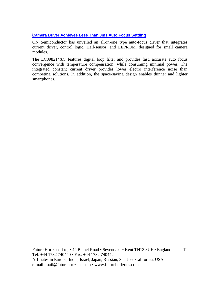#### **[Camera Driver Achieves Less Than 3ms Auto Focus Settling](http://www.eetindia.co.in/ART_8800701558_1800013_NP_8763fbd1.HTM?click_from=8800117024,9950114561,2014-07-21,EEIOL,ARTICLE_ALERT)**

ON Semiconductor has unveiled an all-in-one type auto-focus driver that integrates current driver, control logic, Hall-sensor, and EEPROM, designed for small camera modules.

The LC898214XC features digital loop filter and provides fast, accurate auto focus convergence with temperature compensation, while consuming minimal power. The integrated constant current driver provides lower electro interference noise than competing solutions. In addition, the space-saving design enables thinner and lighter smartphones.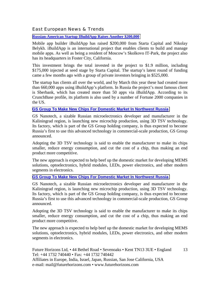# East European News & Trends

**[Russian-American Startup IBuildApp Raises Another \\$200,000](http://rbth.com/news/2014/06/13/russian-american_startup_ibuildapp_raises_another_200000_37377.html)**

Mobile app builder iBuildApp has raised \$200,000 from Starta Capital and Nikolay Belykh. iBuildApp is an international project that enables clients to build and manage mobile apps. As well as being a resident of Moscow's Skolkovo IT-Park, the project also has its headquarters in Foster City, California.

This investment brings the total invested in the project to \$1.9 million, including \$175,000 injected at seed stage by Starta Capital. The startup's latest round of funding came a few months ago with a group of private investors bringing in \$525,000.

The startup has clients all over the world, and by March this year these had created more than 660,000 apps using iBuildApp's platform. In Russia the project's most famous client is Sberbank, which has created more than 50 apps via iBuildApp. According to its CrunchBase profile, its platform is also used by a number of Fortune 2000 companies in the US.

#### **[GS Group To Make New Chips For Domestic Market In Northwest Russia](http://www.marchmontnews.com/Industry-Manufacturing/North-West/20762-GS-Group-make-new-chips-for-domestic-market-Northwest-Russia.html)**

GS Nanotech, a sizable Russian microelectronics developer and manufacturer in the Kaliningrad region, is launching new microchip production, using 3D TSV technology. Its factory, which is part of the GS Group holding company, is thus expected to become Russia's first to use this advanced technology in commercial-scale production, GS Group announced.

Adopting the 3D TSV technology is said to enable the manufacturer to make its chips smaller, reduce energy consumption, and cut the cost of a chip, thus making an end product more competitive.

The new approach is expected to help beef up the domestic market for developing MEMS solutions, optoelectronics, hybrid modules, LEDs, power electronics, and other modern segments in electronics.

#### **[GS Group To Make New Chips For Domestic Market In Northwest Russia](http://www.marchmontnews.com/Industry-Manufacturing/North-West/20762-GS-Group-make-new-chips-for-domestic-market-Northwest-Russia.html)**

GS Nanotech, a sizable Russian microelectronics developer and manufacturer in the Kaliningrad region, is launching new microchip production, using 3D TSV technology. Its factory, which is part of the GS Group holding company, is thus expected to become Russia's first to use this advanced technology in commercial-scale production, GS Group announced.

Adopting the 3D TSV technology is said to enable the manufacturer to make its chips smaller, reduce energy consumption, and cut the cost of a chip, thus making an end product more competitive.

The new approach is expected to help beef up the domestic market for developing MEMS solutions, optoelectronics, hybrid modules, LEDs, power electronics, and other modern segments in electronics.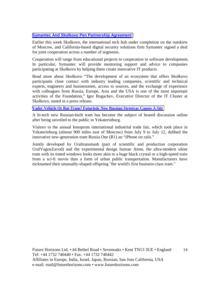## **[Symantec And Skolkovo Pen Partnership Agreement](http://rbth.com/news/2014/07/19/symantec_and_skolkovo_pen_partnership_agreement_38353.html)**

Earlier this week Skolkovo, the international tech hub under completion on the outskirts of Moscow, and California-based digital security solutions firm Symantec signed a deal for joint cooperation across a number of segments.

Cooperation will range from educational projects to cooperation in software development. In particular, Symantec will provide mentoring support and advice to companies participating at Skolkovo by helping them create innovative IT products.

Read more about Skolkovo "The development of an ecosystem that offers Skolkovo participants close contact with industry leading companies, scientific and technical experts, engineers and businessmen, access to sources, and the exchange of experience with colleagues from Russia, Europe, Asia and the USA is one of the most important activities of the Foundation," Igor Bogachev, Executive Director of the IT Cluster at Skolkovo, stated in a press release.

#### **[Vader Vehicle Or Bat-Tram? Futuristic New Russian Streetcar Causes A Stir](http://rbth.com/science_and_tech/2014/07/11/vader_vehicle_or_bat-tram_futuristic_new_russian_streetcar_c_38119.html)**

A hi-tech new Russian-built tram has become the subject of heated discussion online after being unveiled to the public in Yekaterinburg.

Visitors to the annual Innoprom international industrial trade fair, which took place in Yekaterinburg (almost 900 miles east of Moscow) from July 9 to July 12, dubbed the innovative new-generation tram Russia One (R1) an "iPhone on rails."

Jointly developed by Uraltransmash (part of scientific and production corporation UralVagonZavod) and the experimental design bureau Atom, the ultra-modern silent tram with its tinted windows looks more akin to a huge black crystal or a high-speed train from a sci-fi movie than a form of urban public transportation. Manufacturers have nicknamed their unusually-shaped offspring "the world's first business-class tram."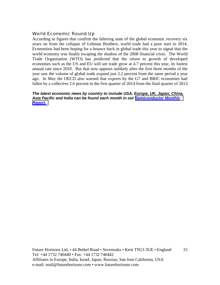# World Economic Round Up

According to figures that confirm the faltering state of the global economic recovery six years on from the collapse of Lehman Brothers, world trade had a poor start to 2014. Economists had been hoping for a bounce back in global trade this year to signal that the world economy was finally escaping the shadow of the 2008 financial crisis. The World Trade Organisation (WTO) has predicted that the return to growth of developed economies such as the US and EU will see trade grow at 4.7 percent this year, its fastest annual rate since 2010. But that now appears unlikely after the first three months of the year saw the volume of global trade expand just 2.2 percent from the same period a year ago. In May the OECD also warned that exports by the G7 and BRIC economies had fallen by a collective 2.6 percent in the first quarter of 2014 from the final quarter of 2013.

*The latest economic news by country to include USA, Europe, UK, Japan, China, Asia Pacific and India can be found each month in our [Semiconductor Monthly](http://www.futurehorizons.com/page/18/Global-Semiconductor-Report)  [Report.](http://www.futurehorizons.com/page/18/Global-Semiconductor-Report)*